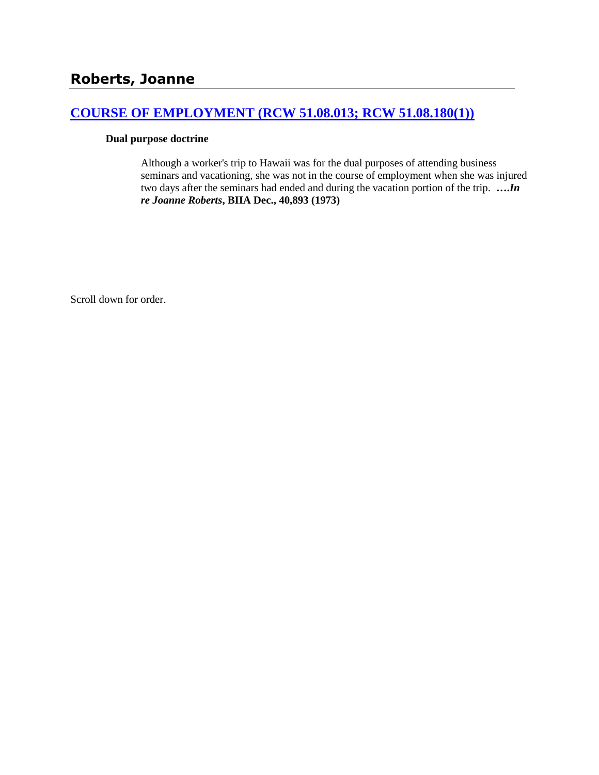# **[COURSE OF EMPLOYMENT \(RCW 51.08.013; RCW 51.08.180\(1\)\)](http://www.biia.wa.gov/SDSubjectIndex.html#COURSE_OF_EMPLOYMENT)**

### **Dual purpose doctrine**

Although a worker's trip to Hawaii was for the dual purposes of attending business seminars and vacationing, she was not in the course of employment when she was injured two days after the seminars had ended and during the vacation portion of the trip. **….***In re Joanne Roberts***, BIIA Dec., 40,893 (1973)**

Scroll down for order.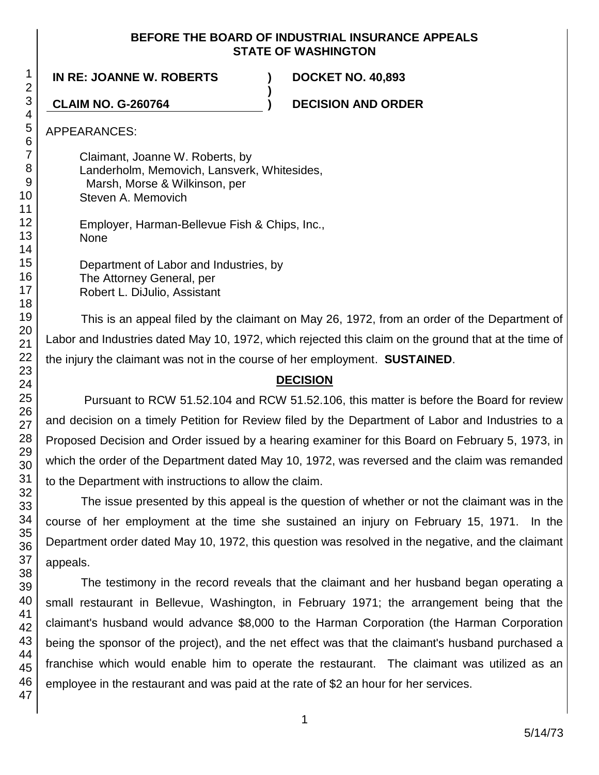### **BEFORE THE BOARD OF INDUSTRIAL INSURANCE APPEALS STATE OF WASHINGTON**

**)**

**IN RE: JOANNE W. ROBERTS ) DOCKET NO. 40,893**

**CLAIM NO. G-260764 ) DECISION AND ORDER**

APPEARANCES:

Claimant, Joanne W. Roberts, by Landerholm, Memovich, Lansverk, Whitesides, Marsh, Morse & Wilkinson, per Steven A. Memovich

Employer, Harman-Bellevue Fish & Chips, Inc., None

Department of Labor and Industries, by The Attorney General, per Robert L. DiJulio, Assistant

This is an appeal filed by the claimant on May 26, 1972, from an order of the Department of Labor and Industries dated May 10, 1972, which rejected this claim on the ground that at the time of the injury the claimant was not in the course of her employment. **SUSTAINED**.

## **DECISION**

Pursuant to RCW 51.52.104 and RCW 51.52.106, this matter is before the Board for review and decision on a timely Petition for Review filed by the Department of Labor and Industries to a Proposed Decision and Order issued by a hearing examiner for this Board on February 5, 1973, in which the order of the Department dated May 10, 1972, was reversed and the claim was remanded to the Department with instructions to allow the claim.

The issue presented by this appeal is the question of whether or not the claimant was in the course of her employment at the time she sustained an injury on February 15, 1971. In the Department order dated May 10, 1972, this question was resolved in the negative, and the claimant appeals.

The testimony in the record reveals that the claimant and her husband began operating a small restaurant in Bellevue, Washington, in February 1971; the arrangement being that the claimant's husband would advance \$8,000 to the Harman Corporation (the Harman Corporation being the sponsor of the project), and the net effect was that the claimant's husband purchased a franchise which would enable him to operate the restaurant. The claimant was utilized as an employee in the restaurant and was paid at the rate of \$2 an hour for her services.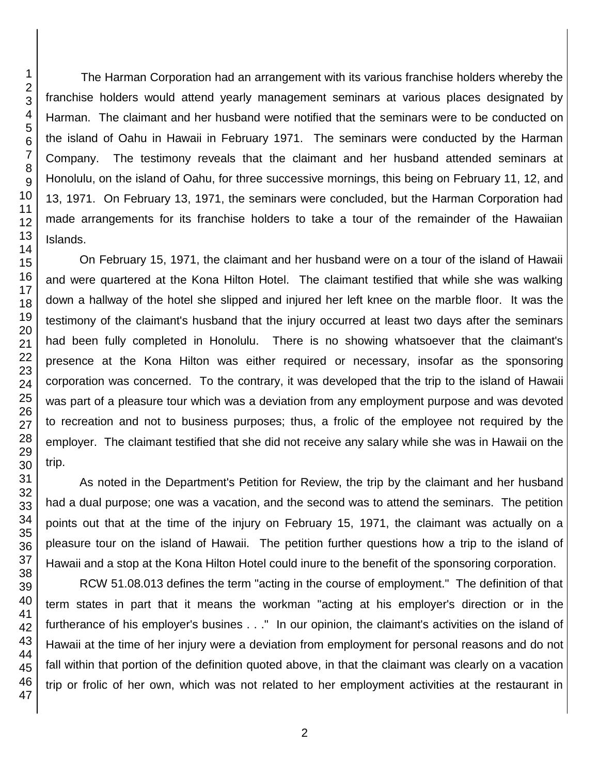The Harman Corporation had an arrangement with its various franchise holders whereby the franchise holders would attend yearly management seminars at various places designated by Harman. The claimant and her husband were notified that the seminars were to be conducted on the island of Oahu in Hawaii in February 1971. The seminars were conducted by the Harman Company. The testimony reveals that the claimant and her husband attended seminars at Honolulu, on the island of Oahu, for three successive mornings, this being on February 11, 12, and 13, 1971. On February 13, 1971, the seminars were concluded, but the Harman Corporation had made arrangements for its franchise holders to take a tour of the remainder of the Hawaiian Islands.

On February 15, 1971, the claimant and her husband were on a tour of the island of Hawaii and were quartered at the Kona Hilton Hotel. The claimant testified that while she was walking down a hallway of the hotel she slipped and injured her left knee on the marble floor. It was the testimony of the claimant's husband that the injury occurred at least two days after the seminars had been fully completed in Honolulu. There is no showing whatsoever that the claimant's presence at the Kona Hilton was either required or necessary, insofar as the sponsoring corporation was concerned. To the contrary, it was developed that the trip to the island of Hawaii was part of a pleasure tour which was a deviation from any employment purpose and was devoted to recreation and not to business purposes; thus, a frolic of the employee not required by the employer. The claimant testified that she did not receive any salary while she was in Hawaii on the trip.

As noted in the Department's Petition for Review, the trip by the claimant and her husband had a dual purpose; one was a vacation, and the second was to attend the seminars. The petition points out that at the time of the injury on February 15, 1971, the claimant was actually on a pleasure tour on the island of Hawaii. The petition further questions how a trip to the island of Hawaii and a stop at the Kona Hilton Hotel could inure to the benefit of the sponsoring corporation.

RCW 51.08.013 defines the term "acting in the course of employment." The definition of that term states in part that it means the workman "acting at his employer's direction or in the furtherance of his employer's busines . . ." In our opinion, the claimant's activities on the island of Hawaii at the time of her injury were a deviation from employment for personal reasons and do not fall within that portion of the definition quoted above, in that the claimant was clearly on a vacation trip or frolic of her own, which was not related to her employment activities at the restaurant in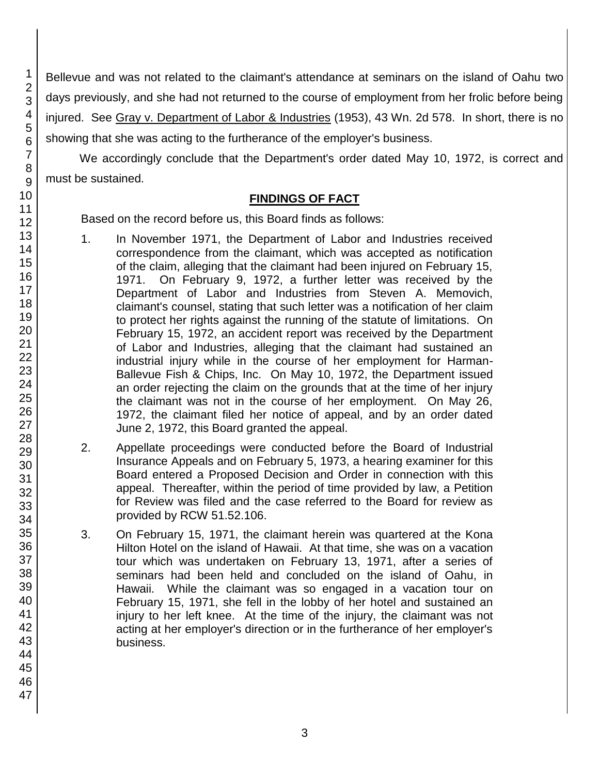Bellevue and was not related to the claimant's attendance at seminars on the island of Oahu two days previously, and she had not returned to the course of employment from her frolic before being injured. See Gray v. Department of Labor & Industries (1953), 43 Wn. 2d 578. In short, there is no showing that she was acting to the furtherance of the employer's business.

We accordingly conclude that the Department's order dated May 10, 1972, is correct and must be sustained.

### **FINDINGS OF FACT**

Based on the record before us, this Board finds as follows:

- 1. In November 1971, the Department of Labor and Industries received correspondence from the claimant, which was accepted as notification of the claim, alleging that the claimant had been injured on February 15, 1971. On February 9, 1972, a further letter was received by the Department of Labor and Industries from Steven A. Memovich, claimant's counsel, stating that such letter was a notification of her claim to protect her rights against the running of the statute of limitations. On February 15, 1972, an accident report was received by the Department of Labor and Industries, alleging that the claimant had sustained an industrial injury while in the course of her employment for Harman-Ballevue Fish & Chips, Inc. On May 10, 1972, the Department issued an order rejecting the claim on the grounds that at the time of her injury the claimant was not in the course of her employment. On May 26, 1972, the claimant filed her notice of appeal, and by an order dated June 2, 1972, this Board granted the appeal.
- 2. Appellate proceedings were conducted before the Board of Industrial Insurance Appeals and on February 5, 1973, a hearing examiner for this Board entered a Proposed Decision and Order in connection with this appeal. Thereafter, within the period of time provided by law, a Petition for Review was filed and the case referred to the Board for review as provided by RCW 51.52.106.
- 3. On February 15, 1971, the claimant herein was quartered at the Kona Hilton Hotel on the island of Hawaii. At that time, she was on a vacation tour which was undertaken on February 13, 1971, after a series of seminars had been held and concluded on the island of Oahu, in Hawaii. While the claimant was so engaged in a vacation tour on February 15, 1971, she fell in the lobby of her hotel and sustained an injury to her left knee. At the time of the injury, the claimant was not acting at her employer's direction or in the furtherance of her employer's business.

1